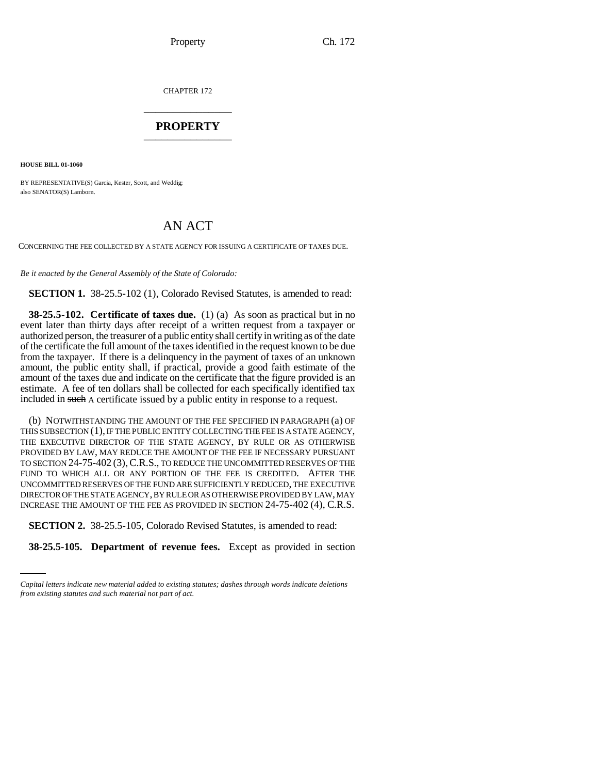Property Ch. 172

CHAPTER 172 \_\_\_\_\_\_\_\_\_\_\_\_\_\_\_

## **PROPERTY** \_\_\_\_\_\_\_\_\_\_\_\_\_\_\_

**HOUSE BILL 01-1060**

BY REPRESENTATIVE(S) Garcia, Kester, Scott, and Weddig; also SENATOR(S) Lamborn.

## AN ACT

CONCERNING THE FEE COLLECTED BY A STATE AGENCY FOR ISSUING A CERTIFICATE OF TAXES DUE.

*Be it enacted by the General Assembly of the State of Colorado:*

**SECTION 1.** 38-25.5-102 (1), Colorado Revised Statutes, is amended to read:

**38-25.5-102. Certificate of taxes due.** (1) (a) As soon as practical but in no event later than thirty days after receipt of a written request from a taxpayer or authorized person, the treasurer of a public entity shall certify in writing as of the date of the certificate the full amount of the taxes identified in the request known to be due from the taxpayer. If there is a delinquency in the payment of taxes of an unknown amount, the public entity shall, if practical, provide a good faith estimate of the amount of the taxes due and indicate on the certificate that the figure provided is an estimate. A fee of ten dollars shall be collected for each specifically identified tax included in such A certificate issued by a public entity in response to a request.

(b) NOTWITHSTANDING THE AMOUNT OF THE FEE SPECIFIED IN PARAGRAPH (a) OF THIS SUBSECTION (1), IF THE PUBLIC ENTITY COLLECTING THE FEE IS A STATE AGENCY, THE EXECUTIVE DIRECTOR OF THE STATE AGENCY, BY RULE OR AS OTHERWISE PROVIDED BY LAW, MAY REDUCE THE AMOUNT OF THE FEE IF NECESSARY PURSUANT TO SECTION 24-75-402 (3),C.R.S., TO REDUCE THE UNCOMMITTED RESERVES OF THE FUND TO WHICH ALL OR ANY PORTION OF THE FEE IS CREDITED. AFTER THE UNCOMMITTED RESERVES OF THE FUND ARE SUFFICIENTLY REDUCED, THE EXECUTIVE DIRECTOR OF THE STATE AGENCY, BY RULE OR AS OTHERWISE PROVIDED BY LAW, MAY INCREASE THE AMOUNT OF THE FEE AS PROVIDED IN SECTION 24-75-402 (4), C.R.S.

 **SECTION 2.** 38-25.5-105, Colorado Revised Statutes, is amended to read:

**38-25.5-105. Department of revenue fees.** Except as provided in section

*Capital letters indicate new material added to existing statutes; dashes through words indicate deletions from existing statutes and such material not part of act.*